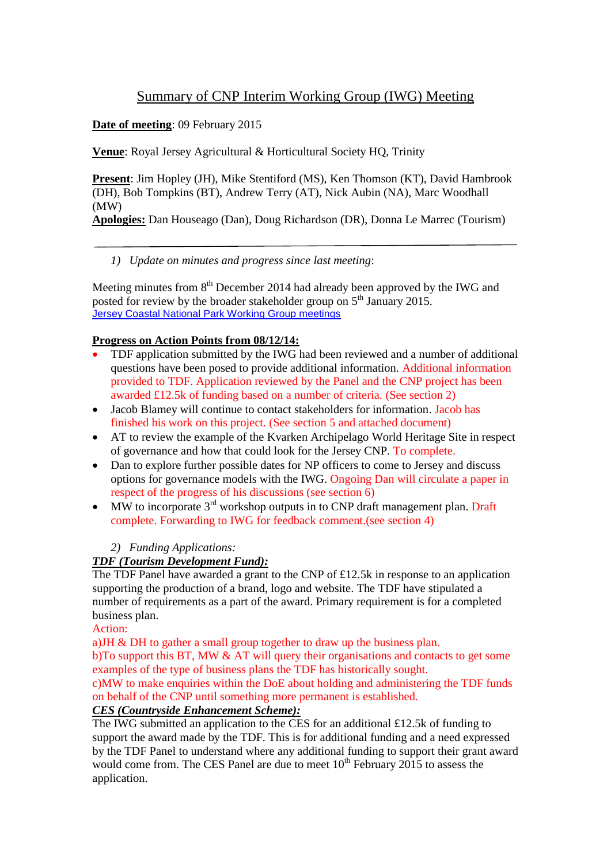# Summary of CNP Interim Working Group (IWG) Meeting

**Date of meeting**: 09 February 2015

**Venue**: Royal Jersey Agricultural & Horticultural Society HQ, Trinity

**Present**: Jim Hopley (JH), Mike Stentiford (MS), Ken Thomson (KT), David Hambrook (DH), Bob Tompkins (BT), Andrew Terry (AT), Nick Aubin (NA), Marc Woodhall (MW)

**Apologies:** Dan Houseago (Dan), Doug Richardson (DR), Donna Le Marrec (Tourism)

## *1) Update on minutes and progress since last meeting*:

Meeting minutes from 8<sup>th</sup> December 2014 had already been approved by the IWG and posted for review by the broader stakeholder group on 5<sup>th</sup> January 2015. [Jersey Coastal National Park Working Group meetings](http://www.gov.je/Government/Departments/PlanningEnvironment/AdvisoryGroups/Pages/JerseyCoastalNationalParkWorkingGroup.aspx)

#### **Progress on Action Points from 08/12/14:**

- TDF application submitted by the IWG had been reviewed and a number of additional questions have been posed to provide additional information. Additional information provided to TDF. Application reviewed by the Panel and the CNP project has been awarded £12.5k of funding based on a number of criteria. (See section 2)
- Jacob Blamey will continue to contact stakeholders for information. Jacob has finished his work on this project. (See section 5 and attached document)
- AT to review the example of the Kvarken Archipelago World Heritage Site in respect of governance and how that could look for the Jersey CNP. To complete.
- Dan to explore further possible dates for NP officers to come to Jersey and discuss options for governance models with the IWG. Ongoing Dan will circulate a paper in respect of the progress of his discussions (see section 6)
- $\bullet$  MW to incorporate 3<sup>rd</sup> workshop outputs in to CNP draft management plan. Draft complete. Forwarding to IWG for feedback comment.(see section 4)

#### *2) Funding Applications:*

#### *TDF (Tourism Development Fund):*

The TDF Panel have awarded a grant to the CNP of £12.5k in response to an application supporting the production of a brand, logo and website. The TDF have stipulated a number of requirements as a part of the award. Primary requirement is for a completed business plan.

Action:

a)JH & DH to gather a small group together to draw up the business plan.

b)To support this BT, MW & AT will query their organisations and contacts to get some examples of the type of business plans the TDF has historically sought.

c)MW to make enquiries within the DoE about holding and administering the TDF funds on behalf of the CNP until something more permanent is established.

# *CES (Countryside Enhancement Scheme):*

The IWG submitted an application to the CES for an additional £12.5k of funding to support the award made by the TDF. This is for additional funding and a need expressed by the TDF Panel to understand where any additional funding to support their grant award would come from. The CES Panel are due to meet  $10^{th}$  February 2015 to assess the application.